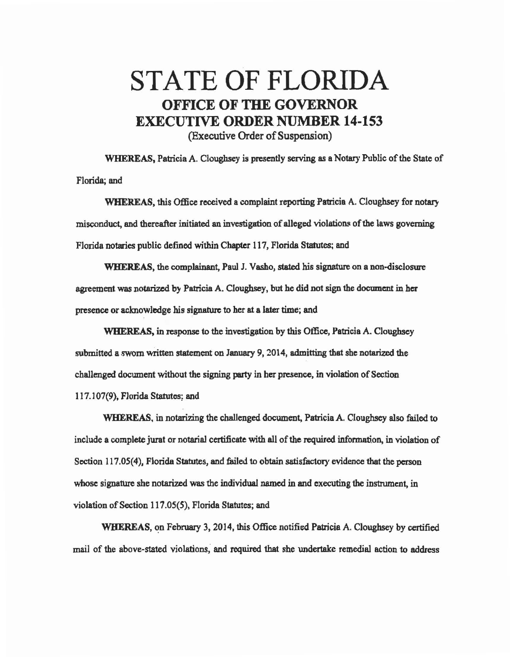## STATE OF FLORIDA OFFICE OF THE GOVERNOR EXECUTIVE ORDER NUMBER 14-153 (Executive Order of Suspension)

WHEREAS, Patricia A. Cloughsey is presently serving as a Notary Public of the State of Florida; and

WHEREAS, this Office received a complaint reporting Patricia A. Cloughsey for notary misconduct, and thereafter initiated an investigation of alleged violations of the laws governing Florida notaries public defined within Chapter 117, Florida Statutes; and

WHEREAS, the complainant, Paul J. Vasho, stated his signature on a non-disclosure agreement was notarized by Patricia A. Cloughsey, but he did not sign the document in her presence or acknowledge his signature to her at a later time; and

WHEREAS, in response to the investigation by this Office, Patricia A. Cloughsey submitted a sworn written statement on January 9, 2014, admitting that she notarized the challenged document without the signing party in her presence, in violation of Section 117. l 07(9), Florida Statutes; and

WHEREAS, in notarizing the challenged document, Patricia A. Cloughsey also failed to include a complete jurat or notarial certificate with all of the required information, in violation of Section 117.05(4). Florida Statutes, and failed to obtain satisfactory evidence that the person whose signature she notarized was the individual named in and executing the instrument, in violation of Section 117.05(5), Florida Statutes; and

WHEREAS, on February 3, 2014, this Office notified Patricia A. Cloughsey by certified mail of the above-stated violations; and required that she undertake remedial action to address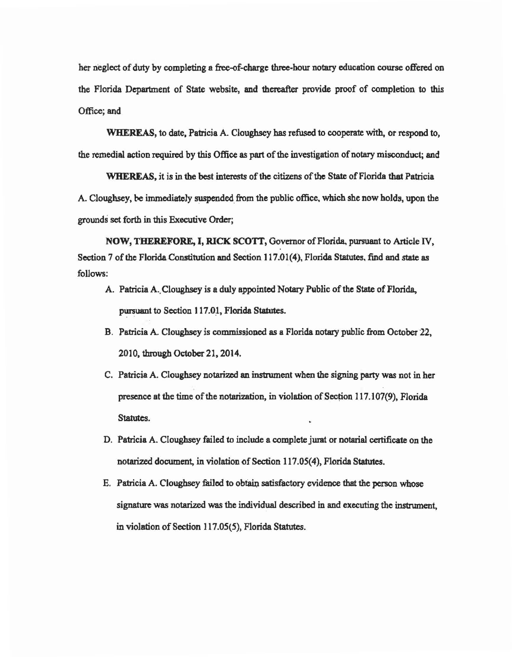her neglect of duty by completing a free-of-charge three-hour notary education course offered on the Florida Department of State website, and thereafter provide proof of completion to this Office; and

WHEREAS, to date. Patricia A. Cloughsey has refused to cooperate with, or respond to, the remedial action required by this Office as part of the investigation of notary misconduct; and

WHEREAS, it is in the best interests of the citizens of the State of Florida that Patricia A. Cloughsey, be immediately suspended from the public office, which she now holds, upon the grounds set forth in this Executive Order;

NOW, THEREFORE, I, RICK SCOTT, Governor of Florida, pursuant to Article IV, Section 7 of the Florida Constitution and Section 117.01(4), Florida Statutes, find and state as follows:

- A. Patricia A.. Cloughsey is a duly appointed Notary Public of the State of Florida, pursuant to Section 117.01, Florida Statutes.
- B. Patricia A. Cloughsey is commissioned as a Florida notary public from October 22, 2010, through October 21, 2014.
- C. Patricia A. Cloughsey notarized an instrument when the signing party was not in her presence at the time of the notarization, in violation of Section 117 .107(9), Florida Statutes.
- D. Patricia A. Cloughsey failed to include a complete jumt or notarial certificate on the notarized document, in violation of Section 117.05(4), Florida Statutes.
- E. Patricia A. Clougbsey failed to obtain satisfactory evidence that the penon whose signature was notarized was the individual described in and executing the instnunent, in violation of Section 117.05(5), Florida Statutes.